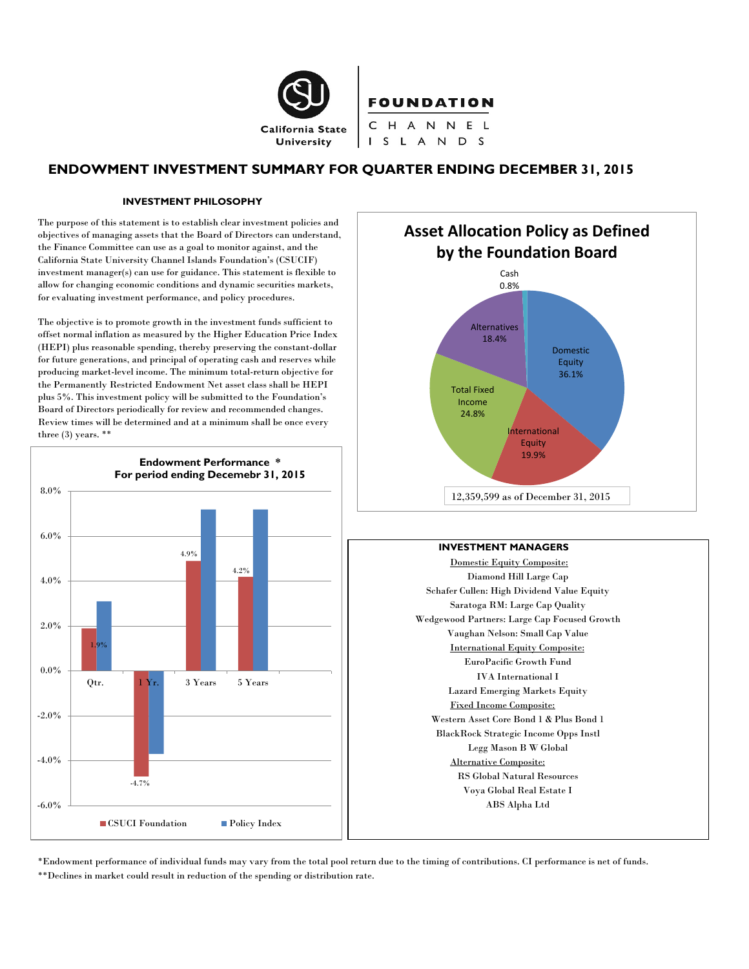

**FOUNDATION** 

CHANNEL I S L A N D S

# **ENDOWMENT INVESTMENT SUMMARY FOR QUARTER ENDING DECEMBER 31, 2015**

#### **INVESTMENT PHILOSOPHY**

The purpose of this statement is to establish clear investment policies and objectives of managing assets that the Board of Directors can understand, the Finance Committee can use as a goal to monitor against, and the California State University Channel Islands Foundation's (CSUCIF) investment manager(s) can use for guidance. This statement is flexible to allow for changing economic conditions and dynamic securities markets, for evaluating investment performance, and policy procedures.

The objective is to promote growth in the investment funds sufficient to offset normal inflation as measured by the Higher Education Price Index (HEPI) plus reasonable spending, thereby preserving the constant-dollar for future generations, and principal of operating cash and reserves while producing market-level income. The minimum total-return objective for the Permanently Restricted Endowment Net asset class shall be HEPI plus 5%. This investment policy will be submitted to the Foundation's Board of Directors periodically for review and recommended changes. Review times will be determined and at a minimum shall be once every three (3) years. \*\*





#### **INVESTMENT MANAGERS**

Domestic Equity Composite: Diamond Hill Large Cap Schafer Cullen: High Dividend Value Equity Saratoga RM: Large Cap Quality Wedgewood Partners: Large Cap Focused Growth Vaughan Nelson: Small Cap Value International Equity Composite: EuroPacific Growth Fund IVA International I Lazard Emerging Markets Equity Fixed Income Composite: Western Asset Core Bond 1 & Plus Bond 1 BlackRock Strategic Income Opps Instl Legg Mason B W Global Alternative Composite: RS Global Natural Resources Voya Global Real Estate I ABS Alpha Ltd

\*Endowment performance of individual funds may vary from the total pool return due to the timing of contributions. CI performance is net of funds. \*\*Declines in market could result in reduction of the spending or distribution rate.